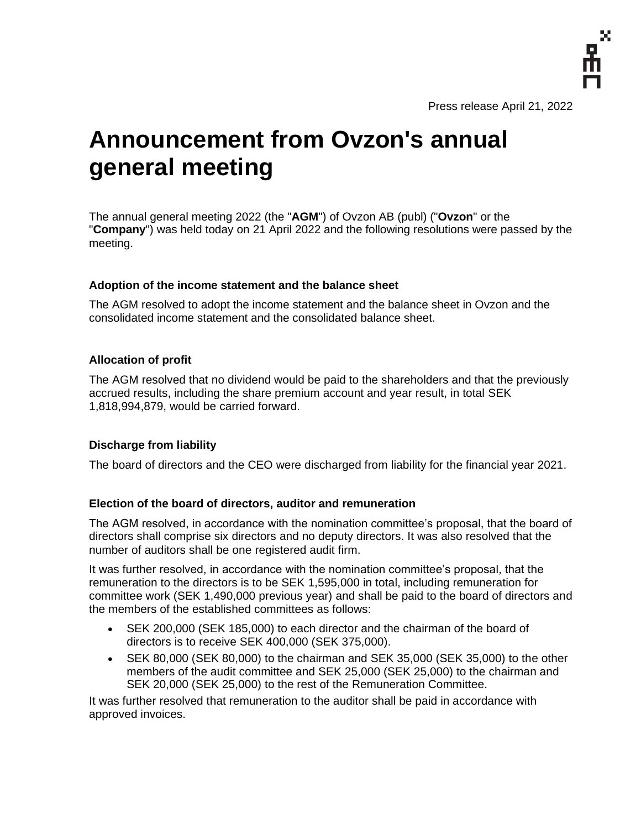

Press release April 21, 2022

# **Announcement from Ovzon's annual general meeting**

The annual general meeting 2022 (the "**AGM**") of Ovzon AB (publ) ("**Ovzon**" or the "**Company**") was held today on 21 April 2022 and the following resolutions were passed by the meeting.

# **Adoption of the income statement and the balance sheet**

The AGM resolved to adopt the income statement and the balance sheet in Ovzon and the consolidated income statement and the consolidated balance sheet.

## **Allocation of profit**

The AGM resolved that no dividend would be paid to the shareholders and that the previously accrued results, including the share premium account and year result, in total SEK 1,818,994,879, would be carried forward.

# **Discharge from liability**

The board of directors and the CEO were discharged from liability for the financial year 2021.

### **Election of the board of directors, auditor and remuneration**

The AGM resolved, in accordance with the nomination committee's proposal, that the board of directors shall comprise six directors and no deputy directors. It was also resolved that the number of auditors shall be one registered audit firm.

It was further resolved, in accordance with the nomination committee's proposal, that the remuneration to the directors is to be SEK 1,595,000 in total, including remuneration for committee work (SEK 1,490,000 previous year) and shall be paid to the board of directors and the members of the established committees as follows:

- SEK 200,000 (SEK 185,000) to each director and the chairman of the board of directors is to receive SEK 400,000 (SEK 375,000).
- SEK 80,000 (SEK 80,000) to the chairman and SEK 35,000 (SEK 35,000) to the other members of the audit committee and SEK 25,000 (SEK 25,000) to the chairman and SEK 20,000 (SEK 25,000) to the rest of the Remuneration Committee.

It was further resolved that remuneration to the auditor shall be paid in accordance with approved invoices.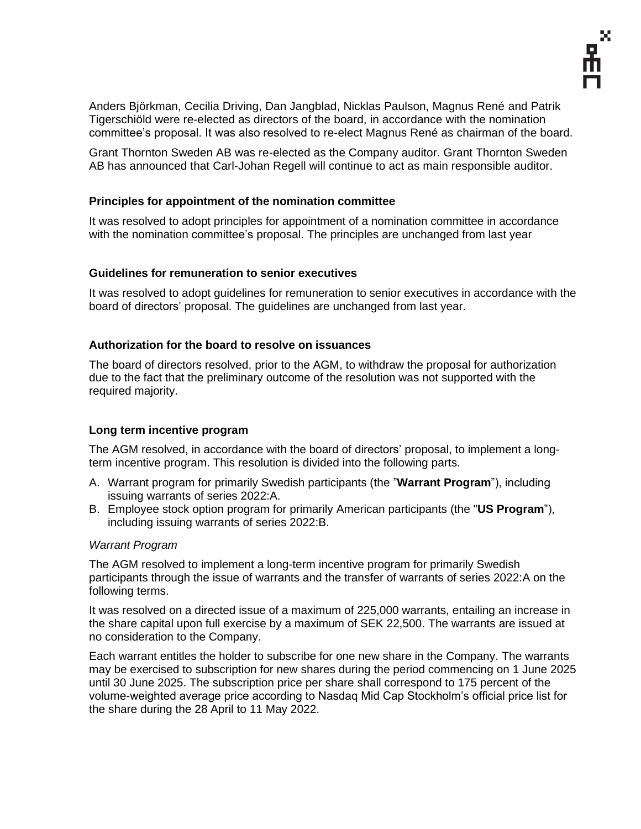Anders Björkman, Cecilia Driving, Dan Jangblad, Nicklas Paulson, Magnus René and Patrik Tigerschiöld were re-elected as directors of the board, in accordance with the nomination committee's proposal. It was also resolved to re-elect Magnus René as chairman of the board.

Grant Thornton Sweden AB was re-elected as the Company auditor. Grant Thornton Sweden AB has announced that Carl-Johan Regell will continue to act as main responsible auditor.

# **Principles for appointment of the nomination committee**

It was resolved to adopt principles for appointment of a nomination committee in accordance with the nomination committee's proposal. The principles are unchanged from last year

# **Guidelines for remuneration to senior executives**

It was resolved to adopt guidelines for remuneration to senior executives in accordance with the board of directors' proposal. The guidelines are unchanged from last year.

## **Authorization for the board to resolve on issuances**

The board of directors resolved, prior to the AGM, to withdraw the proposal for authorization due to the fact that the preliminary outcome of the resolution was not supported with the required majority.

# **Long term incentive program**

The AGM resolved, in accordance with the board of directors' proposal, to implement a longterm incentive program. This resolution is divided into the following parts.

- A. Warrant program for primarily Swedish participants (the "**Warrant Program**"), including issuing warrants of series 2022:A.
- B. Employee stock option program for primarily American participants (the "**US Program**"), including issuing warrants of series 2022:B.

### *Warrant Program*

The AGM resolved to implement a long-term incentive program for primarily Swedish participants through the issue of warrants and the transfer of warrants of series 2022:A on the following terms.

It was resolved on a directed issue of a maximum of 225,000 warrants, entailing an increase in the share capital upon full exercise by a maximum of SEK 22,500. The warrants are issued at no consideration to the Company.

Each warrant entitles the holder to subscribe for one new share in the Company. The warrants may be exercised to subscription for new shares during the period commencing on 1 June 2025 until 30 June 2025. The subscription price per share shall correspond to 175 percent of the volume-weighted average price according to Nasdaq Mid Cap Stockholm's official price list for the share during the 28 April to 11 May 2022.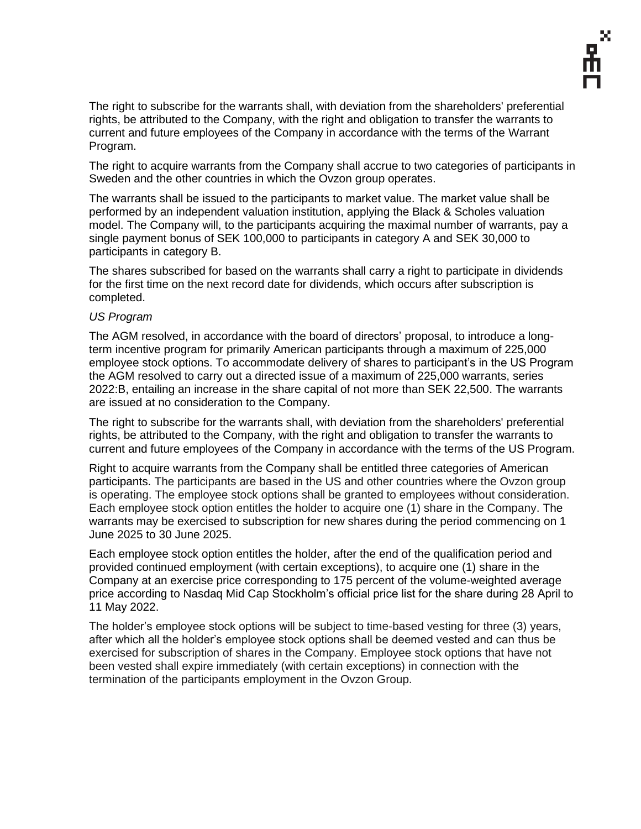The right to subscribe for the warrants shall, with deviation from the shareholders' preferential rights, be attributed to the Company, with the right and obligation to transfer the warrants to current and future employees of the Company in accordance with the terms of the Warrant Program.

The right to acquire warrants from the Company shall accrue to two categories of participants in Sweden and the other countries in which the Ovzon group operates.

The warrants shall be issued to the participants to market value. The market value shall be performed by an independent valuation institution, applying the Black & Scholes valuation model. The Company will, to the participants acquiring the maximal number of warrants, pay a single payment bonus of SEK 100,000 to participants in category A and SEK 30,000 to participants in category B.

The shares subscribed for based on the warrants shall carry a right to participate in dividends for the first time on the next record date for dividends, which occurs after subscription is completed.

## *US Program*

The AGM resolved, in accordance with the board of directors' proposal, to introduce a longterm incentive program for primarily American participants through a maximum of 225,000 employee stock options. To accommodate delivery of shares to participant's in the US Program the AGM resolved to carry out a directed issue of a maximum of 225,000 warrants, series 2022:B, entailing an increase in the share capital of not more than SEK 22,500. The warrants are issued at no consideration to the Company.

The right to subscribe for the warrants shall, with deviation from the shareholders' preferential rights, be attributed to the Company, with the right and obligation to transfer the warrants to current and future employees of the Company in accordance with the terms of the US Program.

Right to acquire warrants from the Company shall be entitled three categories of American participants. The participants are based in the US and other countries where the Ovzon group is operating. The employee stock options shall be granted to employees without consideration. Each employee stock option entitles the holder to acquire one (1) share in the Company. The warrants may be exercised to subscription for new shares during the period commencing on 1 June 2025 to 30 June 2025.

Each employee stock option entitles the holder, after the end of the qualification period and provided continued employment (with certain exceptions), to acquire one (1) share in the Company at an exercise price corresponding to 175 percent of the volume-weighted average price according to Nasdaq Mid Cap Stockholm's official price list for the share during 28 April to 11 May 2022.

The holder's employee stock options will be subject to time-based vesting for three (3) years, after which all the holder's employee stock options shall be deemed vested and can thus be exercised for subscription of shares in the Company. Employee stock options that have not been vested shall expire immediately (with certain exceptions) in connection with the termination of the participants employment in the Ovzon Group.